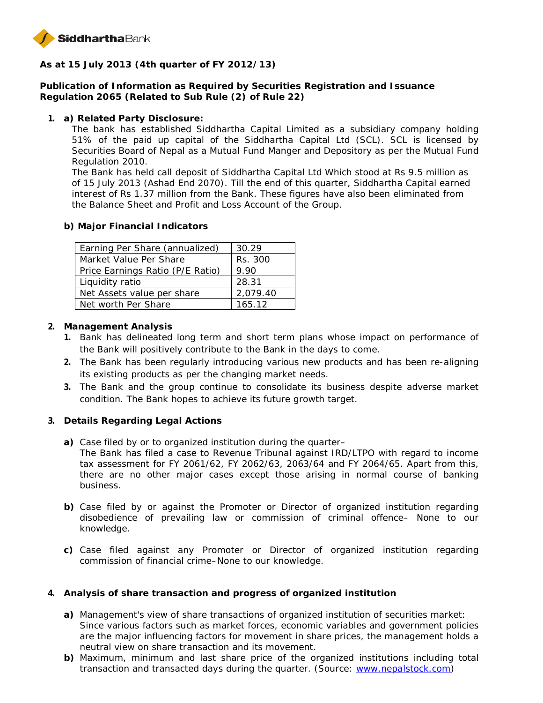

**As at 15 July 2013 (4th quarter of FY 2012/13)**

**Publication of Information as Required by Securities Registration and Issuance Regulation 2065 (Related to Sub Rule (2) of Rule 22)**

**1. a) Related Party Disclosure:**

The bank has established Siddhartha Capital Limited as a subsidiary company holding 51% of the paid up capital of the Siddhartha Capital Ltd (SCL). SCL is licensed by Securities Board of Nepal as a Mutual Fund Manger and Depository as per the Mutual Fund Regulation 2010.

The Bank has held call deposit of Siddhartha Capital Ltd Which stood at Rs 9.5 million as of 15 July 2013 (Ashad End 2070). Till the end of this quarter, Siddhartha Capital earned interest of Rs 1.37 million from the Bank. These figures have also been eliminated from the Balance Sheet and Profit and Loss Account of the Group.

**b) Major Financial Indicators**

| Earning Per Share (annualized)   | 30.29    |
|----------------------------------|----------|
| Market Value Per Share           | Rs. 300  |
| Price Earnings Ratio (P/E Ratio) | 9.90     |
| Liquidity ratio                  | 28.31    |
| Net Assets value per share       | 2,079.40 |
| Net worth Per Share              | 165.12   |

- **2. Management Analysis**
	- **1.** Bank has delineated long term and short term plans whose impact on performance of the Bank will positively contribute to the Bank in the days to come.
	- **2.** The Bank has been regularly introducing various new products and has been re-aligning its existing products as per the changing market needs.
	- **3.** The Bank and the group continue to consolidate its business despite adverse market condition. The Bank hopes to achieve its future growth target.
- **3. Details Regarding Legal Actions**
	- **a)** Case filed by or to organized institution during the quarter–
		- The Bank has filed a case to Revenue Tribunal against IRD/LTPO with regard to income tax assessment for FY 2061/62, FY 2062/63, 2063/64 and FY 2064/65. Apart from this, there are no other major cases except those arising in normal course of banking business.
	- **b)** Case filed by or against the Promoter or Director of organized institution regarding disobedience of prevailing law or commission of criminal offence– None to our knowledge.
	- **c)** Case filed against any Promoter or Director of organized institution regarding commission of financial crime–None to our knowledge.
- **4. Analysis of share transaction and progress of organized institution**
	- **a)** Management's view of share transactions of organized institution of securities market: Since various factors such as market forces, economic variables and government policies are the major influencing factors for movement in share prices, the management holds a neutral view on share transaction and its movement.
	- **b)** Maximum, minimum and last share price of the organized institutions including total transaction and transacted days during the quarter. (Source: www.nepalstock.com)